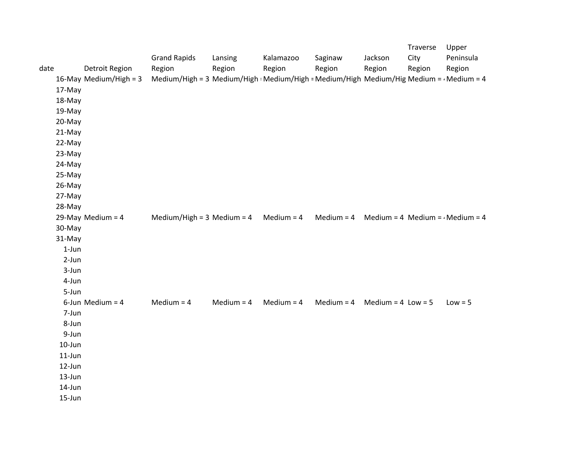|      |                    |                        |                                                                                          |              |              |              |                        | Traverse | Upper                                  |
|------|--------------------|------------------------|------------------------------------------------------------------------------------------|--------------|--------------|--------------|------------------------|----------|----------------------------------------|
|      |                    |                        | <b>Grand Rapids</b>                                                                      | Lansing      | Kalamazoo    | Saginaw      | Jackson                | City     | Peninsula                              |
| date |                    | <b>Detroit Region</b>  | Region                                                                                   | Region       | Region       | Region       | Region                 | Region   | Region                                 |
|      |                    | 16-May Medium/High = 3 | Medium/High = 3 Medium/High : Medium/High = Medium/High Medium/Hig Medium = 4 Medium = 4 |              |              |              |                        |          |                                        |
|      | 17-May             |                        |                                                                                          |              |              |              |                        |          |                                        |
|      | 18-May             |                        |                                                                                          |              |              |              |                        |          |                                        |
|      | 19-May             |                        |                                                                                          |              |              |              |                        |          |                                        |
|      | 20-May             |                        |                                                                                          |              |              |              |                        |          |                                        |
|      | 21-May             |                        |                                                                                          |              |              |              |                        |          |                                        |
|      | 22-May             |                        |                                                                                          |              |              |              |                        |          |                                        |
|      | 23-May             |                        |                                                                                          |              |              |              |                        |          |                                        |
|      | 24-May             |                        |                                                                                          |              |              |              |                        |          |                                        |
|      | 25-May             |                        |                                                                                          |              |              |              |                        |          |                                        |
|      | 26-May             |                        |                                                                                          |              |              |              |                        |          |                                        |
|      | 27-May             |                        |                                                                                          |              |              |              |                        |          |                                        |
|      | 28-May             |                        |                                                                                          |              |              | Medium $=$ 4 |                        |          | Medium = 4 Medium = $\cdot$ Medium = 4 |
|      |                    | 29-May Medium = $4$    | Medium/High = $3$ Medium = $4$                                                           |              | Medium = $4$ |              |                        |          |                                        |
|      | 30-May             |                        |                                                                                          |              |              |              |                        |          |                                        |
|      | 31-May             |                        |                                                                                          |              |              |              |                        |          |                                        |
|      | $1-Jun$<br>$2-Jun$ |                        |                                                                                          |              |              |              |                        |          |                                        |
|      |                    |                        |                                                                                          |              |              |              |                        |          |                                        |
|      | 3-Jun              |                        |                                                                                          |              |              |              |                        |          |                                        |
|      | 4-Jun<br>5-Jun     |                        |                                                                                          |              |              |              |                        |          |                                        |
|      |                    | 6-Jun Medium = $4$     | Medium $=$ 4                                                                             | Medium $=$ 4 | Medium $=$ 4 | Medium $=$ 4 | Medium = $4$ Low = $5$ |          | $Low = 5$                              |
|      | 7-Jun              |                        |                                                                                          |              |              |              |                        |          |                                        |
|      | 8-Jun              |                        |                                                                                          |              |              |              |                        |          |                                        |
|      | 9-Jun              |                        |                                                                                          |              |              |              |                        |          |                                        |
|      | $10$ -Jun          |                        |                                                                                          |              |              |              |                        |          |                                        |
|      | $11$ -Jun          |                        |                                                                                          |              |              |              |                        |          |                                        |
|      | 12-Jun             |                        |                                                                                          |              |              |              |                        |          |                                        |
|      | 13-Jun             |                        |                                                                                          |              |              |              |                        |          |                                        |
|      | 14-Jun             |                        |                                                                                          |              |              |              |                        |          |                                        |
|      | 15-Jun             |                        |                                                                                          |              |              |              |                        |          |                                        |
|      |                    |                        |                                                                                          |              |              |              |                        |          |                                        |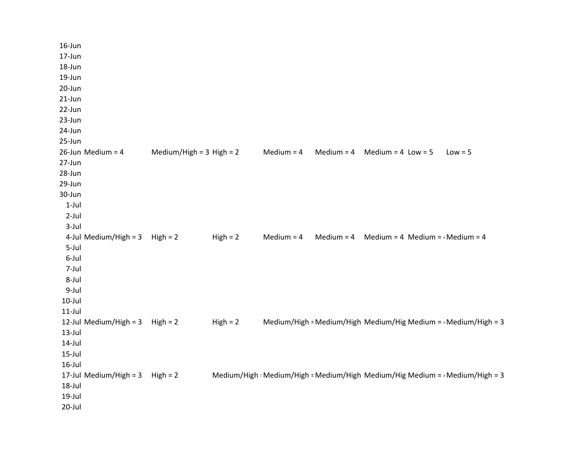| 16-Jun                              |                              |            |              |              |                                        |                                                                                     |
|-------------------------------------|------------------------------|------------|--------------|--------------|----------------------------------------|-------------------------------------------------------------------------------------|
| 17-Jun                              |                              |            |              |              |                                        |                                                                                     |
| 18-Jun                              |                              |            |              |              |                                        |                                                                                     |
| 19-Jun                              |                              |            |              |              |                                        |                                                                                     |
| 20-Jun                              |                              |            |              |              |                                        |                                                                                     |
| 21-Jun                              |                              |            |              |              |                                        |                                                                                     |
| 22-Jun                              |                              |            |              |              |                                        |                                                                                     |
| 23-Jun                              |                              |            |              |              |                                        |                                                                                     |
| 24-Jun                              |                              |            |              |              |                                        |                                                                                     |
| 25-Jun                              |                              |            |              |              |                                        |                                                                                     |
| 26-Jun Medium = 4                   | Medium/High = $3$ High = $2$ |            | Medium $=$ 4 | Medium = $4$ | Medium = $4$ Low = $5$                 | $Low = 5$                                                                           |
| 27-Jun                              |                              |            |              |              |                                        |                                                                                     |
| 28-Jun                              |                              |            |              |              |                                        |                                                                                     |
| 29-Jun                              |                              |            |              |              |                                        |                                                                                     |
| 30-Jun                              |                              |            |              |              |                                        |                                                                                     |
| $1-Jul$                             |                              |            |              |              |                                        |                                                                                     |
| $2$ -Jul                            |                              |            |              |              |                                        |                                                                                     |
| $3$ -Jul                            |                              |            |              |              |                                        |                                                                                     |
| 4-Jul Medium/High = 3               | $High = 2$                   | $High = 2$ | Medium $=$ 4 | Medium $=$ 4 | Medium = 4 Medium = $\cdot$ Medium = 4 |                                                                                     |
| 5-Jul                               |                              |            |              |              |                                        |                                                                                     |
| 6-Jul                               |                              |            |              |              |                                        |                                                                                     |
| 7-Jul                               |                              |            |              |              |                                        |                                                                                     |
| 8-Jul                               |                              |            |              |              |                                        |                                                                                     |
| 9-Jul                               |                              |            |              |              |                                        |                                                                                     |
| $10$ -Jul                           |                              |            |              |              |                                        |                                                                                     |
| $11$ -Jul                           |                              |            |              |              |                                        |                                                                                     |
| 12-Jul Medium/High = $3$ High = $2$ |                              | $High = 2$ |              |              |                                        | Medium/High = Medium/High Medium/Hig Medium = $\cdot$ Medium/High = 3               |
| $13$ -Jul                           |                              |            |              |              |                                        |                                                                                     |
| $14$ -Jul                           |                              |            |              |              |                                        |                                                                                     |
| $15$ -Jul                           |                              |            |              |              |                                        |                                                                                     |
| $16$ -Jul                           |                              |            |              |              |                                        |                                                                                     |
| 17-Jul Medium/High = 3              | $High = 2$                   |            |              |              |                                        | Medium/High : Medium/High = Medium/High Medium/Hig Medium = $\cdot$ Medium/High = 3 |
| 18-Jul                              |                              |            |              |              |                                        |                                                                                     |
| $19$ -Jul                           |                              |            |              |              |                                        |                                                                                     |
| 20-Jul                              |                              |            |              |              |                                        |                                                                                     |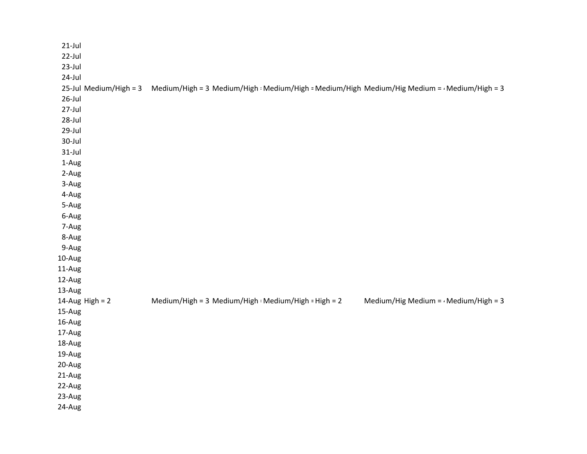| $21$ -Jul              |                                                                                                     |                                             |
|------------------------|-----------------------------------------------------------------------------------------------------|---------------------------------------------|
| 22-Jul                 |                                                                                                     |                                             |
| $23$ -Jul              |                                                                                                     |                                             |
| 24-Jul                 |                                                                                                     |                                             |
| 25-Jul Medium/High = 3 | Medium/High = 3 Medium/High : Medium/High = Medium/High Medium/Hig Medium = $\cdot$ Medium/High = 3 |                                             |
| $26$ -Jul              |                                                                                                     |                                             |
| 27-Jul                 |                                                                                                     |                                             |
| 28-Jul                 |                                                                                                     |                                             |
| 29-Jul                 |                                                                                                     |                                             |
| 30-Jul                 |                                                                                                     |                                             |
| $31$ -Jul              |                                                                                                     |                                             |
| 1-Aug                  |                                                                                                     |                                             |
| 2-Aug                  |                                                                                                     |                                             |
| 3-Aug                  |                                                                                                     |                                             |
| 4-Aug                  |                                                                                                     |                                             |
| 5-Aug                  |                                                                                                     |                                             |
| 6-Aug                  |                                                                                                     |                                             |
| 7-Aug                  |                                                                                                     |                                             |
| 8-Aug                  |                                                                                                     |                                             |
| 9-Aug                  |                                                                                                     |                                             |
| 10-Aug                 |                                                                                                     |                                             |
| 11-Aug                 |                                                                                                     |                                             |
| 12-Aug                 |                                                                                                     |                                             |
| 13-Aug                 |                                                                                                     |                                             |
| 14-Aug High = $2$      | Medium/High = 3 Medium/High : Medium/High = High = 2                                                | Medium/Hig Medium = $\cdot$ Medium/High = 3 |
| 15-Aug                 |                                                                                                     |                                             |
| 16-Aug                 |                                                                                                     |                                             |
| 17-Aug                 |                                                                                                     |                                             |
| 18-Aug                 |                                                                                                     |                                             |
| 19-Aug                 |                                                                                                     |                                             |
| 20-Aug                 |                                                                                                     |                                             |
| 21-Aug                 |                                                                                                     |                                             |
| 22-Aug                 |                                                                                                     |                                             |
| 23-Aug                 |                                                                                                     |                                             |
| 24-Aug                 |                                                                                                     |                                             |